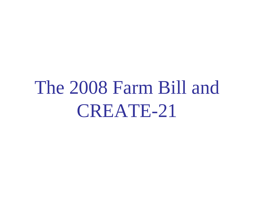### The 2008 Farm Bill and CREATE-21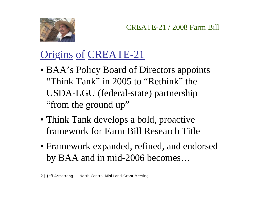

### Origins of CREATE-21

- BAA's Policy Board of Directors appoints "Think Tank" in 2005 to "Rethink" the USDA-LGU (federal-state) partnership "from the ground up"
- Think Tank develops a bold, proactive framework for Farm Bill Research Title
- Framework expanded, refined, and endorsed by BAA and in mid-2006 becomes…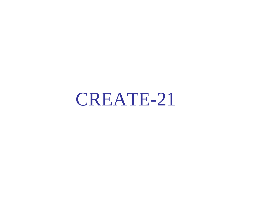CREATE-21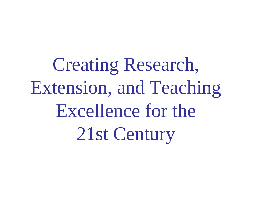Creating Research, Extension, and Teaching Excellence for the 21st Century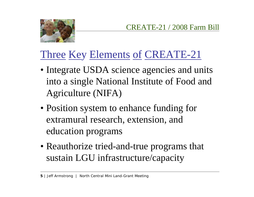

#### Three Key Elements of CREATE-21

- Integrate USDA science agencies and units into a single National Institute of Food and Agriculture (NIFA)
- Position system to enhance funding for extramural research, extension, and education programs
- Reauthorize tried-and-true programs that sustain LGU infrastructure/capacity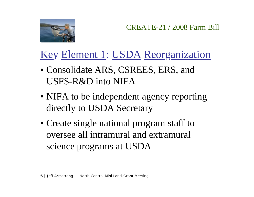



#### Key Element 1: USDA Reorganization

- Consolidate ARS, CSREES, ERS, and USFS-R&D into NIFA
- NIFA to be independent agency reporting directly to USDA Secretary
- Create single national program staff to oversee all intramural and extramural science programs at USDA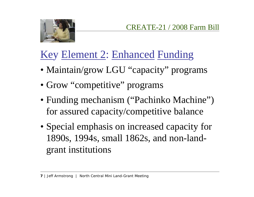



#### Key Element 2: Enhanced Funding

- Maintain/grow LGU "capacity" programs
- Grow "competitive" programs
- Funding mechanism ("Pachinko Machine") for assured capacity/competitive balance
- Special emphasis on increased capacity for 1890s, 1994s, small 1862s, and non-landgrant institutions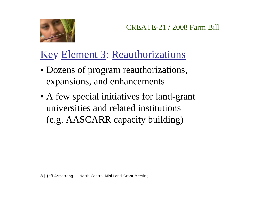

#### Key Element 3: Reauthorizations

- Dozens of program reauthorizations, expansions, and enhancements
- A few special initiatives for land-grant universities and related institutions (e.g. AASCARR capacity building)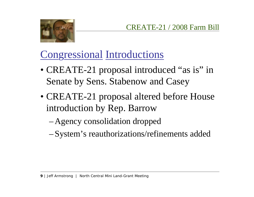

#### Congressional Introductions

- CREATE-21 proposal introduced "as is" in Senate by Sens. Stabenow and Casey
- CREATE-21 proposal altered before House introduction by Rep. Barrow
	- Agency consolidation dropped
	- System's reauthorizations/refinements added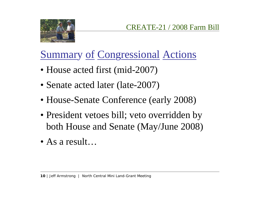

#### Summary of Congressional Actions

- House acted first (mid-2007)
- Senate acted later (late-2007)
- House-Senate Conference (early 2008)
- President vetoes bill; veto overridden by both House and Senate (May/June 2008)
- As a result…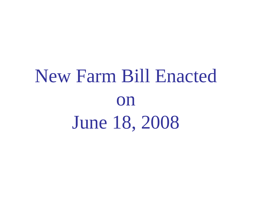# New Farm Bill Enacted on June 18, 2008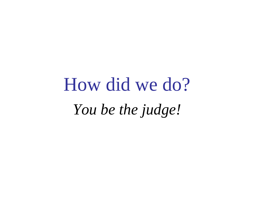# How did we do? *You be the judge!*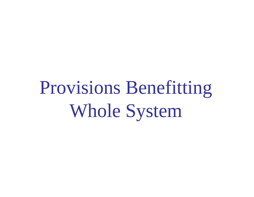Provisions Benefitting Whole System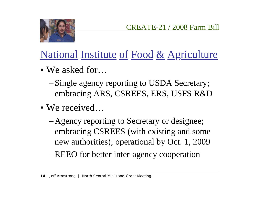

#### National Institute of Food & Agriculture

- We asked for…
	- Single agency reporting to USDA Secretary; embracing ARS, CSREES, ERS, USFS R&D
- We received…
	- Agency reporting to Secretary or designee; embracing CSREES (with existing and some new authorities); operational by Oct. 1, 2009
	- REEO for better inter-agency cooperation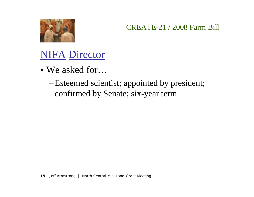

#### NIFA Director

- We asked for…
	- Esteemed scientist; appointed by president; confirmed by Senate; six-year term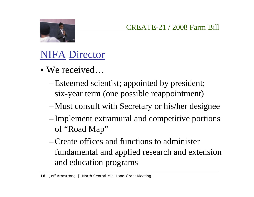

#### NIFA Director

- We received…
	- Esteemed scientist; appointed by president; six-year term (one possible reappointment)
	- Must consult with Secretary or his/her designee
	- Implement extramural and competitive portions of "Road Map"
	- Create offices and functions to administer fundamental and applied research and extension and education programs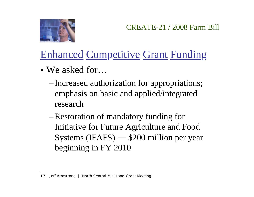

#### Enhanced Competitive Grant Funding

- We asked for…
	- Increased authorization for appropriations; emphasis on basic and applied/integrated research
	- Restoration of mandatory funding for Initiative for Future Agriculture and Food Systems (IFAFS) — \$200 million per year beginning in FY 2010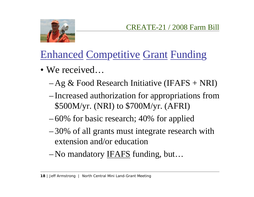



#### Enhanced Competitive Grant Funding

- We received…
	- Ag & Food Research Initiative (IFAFS + NRI)
	- Increased authorization for appropriations from \$500M/yr. (NRI) to \$700M/yr. (AFRI)
	- 60% for basic research; 40% for applied
	- 30% of all grants must integrate research with extension and/or education
	- No mandatory <u>IFAFS</u> funding, but...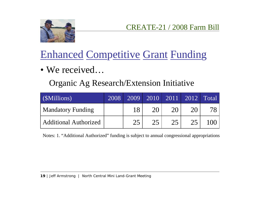

#### Enhanced Competitive Grant Funding

• We received…

Organic Ag Research/Extension Initiative

| (\$Millions)                 | 2008 | 2009 |    |    |    | $\boxed{2010}$ $\boxed{2011}$ $\boxed{2012}$ $\boxed{\text{Total}}$ |
|------------------------------|------|------|----|----|----|---------------------------------------------------------------------|
| <b>Mandatory Funding</b>     |      | 18   | 20 | 20 | 20 |                                                                     |
| <b>Additional Authorized</b> |      | 25   | 25 | 25 | 25 | 100                                                                 |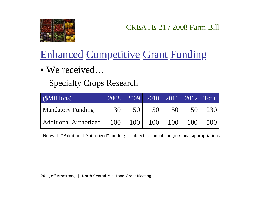

#### Enhanced Competitive Grant Funding

• We received…

#### Specialty Crops Research

| (\$Millions)                 | 2008 |     |     |     |     | $\boxed{2009}$ $\boxed{2010}$ $\boxed{2011}$ $\boxed{2012}$ Total |
|------------------------------|------|-----|-----|-----|-----|-------------------------------------------------------------------|
| <b>Mandatory Funding</b>     | 30   | 50  | 50  | 50  | 50  | 230                                                               |
| <b>Additional Authorized</b> | 100  | 100 | 100 | 100 | 100 | 500                                                               |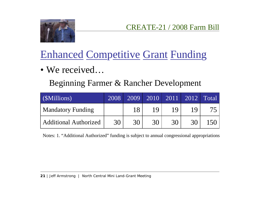

#### Enhanced Competitive Grant Funding

• We received…

Beginning Farmer & Rancher Development

| (\$Millions)                 | 2008 | 2009 |    |    |    | $\boxed{2010}$ 2011 2012 Total |
|------------------------------|------|------|----|----|----|--------------------------------|
| <b>Mandatory Funding</b>     |      | 18   | 19 | 19 | 1Q |                                |
| <b>Additional Authorized</b> | 30   | 30   | 30 | 30 | 30 | 150                            |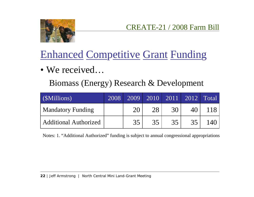

#### Enhanced Competitive Grant Funding

• We received…

Biomass (Energy) Research & Development

| (\$Millions)                 | 2008 | 2009 |    |    | $\boxed{2010}$ $\boxed{2011}$ $\boxed{2012}$ $\boxed{Total}$ |       |
|------------------------------|------|------|----|----|--------------------------------------------------------------|-------|
| <b>Mandatory Funding</b>     |      | 20   | 28 | 30 | 40                                                           | 1181  |
| <b>Additional Authorized</b> |      | 35   | 35 | 35 | 35                                                           | 140 l |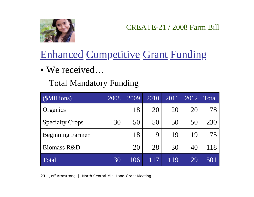

#### Enhanced Competitive Grant Funding

• We received…

#### Total Mandatory Funding

| (\$Millions)            | 2008 | 2009 | 2010 | 2011 | 2012 | <b>Total</b> |
|-------------------------|------|------|------|------|------|--------------|
| Organics                |      | 18   | 20   | 20   | 20   | 78           |
| <b>Specialty Crops</b>  | 30   | 50   | 50   | 50   | 50   | 230          |
| <b>Beginning Farmer</b> |      | 18   | 19   | 19   | 19   | 75           |
| Biomass R&D             |      | 20   | 28   | 30   | 40   | 118          |
| Total                   | 30   | 106  | 117  | 119  | 129  | 501          |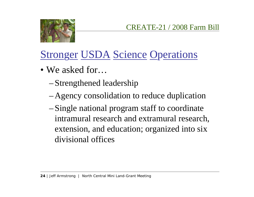



- We asked for…
	- Strengthened leadership
	- Agency consolidation to reduce duplication
	- Single national program staff to coordinate intramural research and extramural research, extension, and education; organized into six divisional offices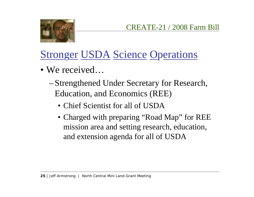

- We received…
	- Strengthened Under Secretary for Research, Education, and Economics (REE)
		- Chief Scientist for all of USDA
		- Charged with preparing "Road Map" for REE mission area and setting research, education, and extension agenda for all of USDA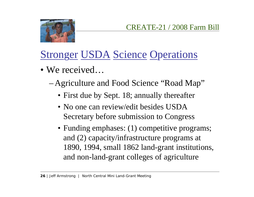

- We received…
	- Agriculture and Food Science "Road Map"
		- First due by Sept. 18; annually thereafter
		- No one can review/edit besides USDA Secretary before submission to Congress
		- Funding emphases: (1) competitive programs; and (2) capacity/infrastructure programs at 1890, 1994, small 1862 land-grant institutions, and non-land-grant colleges of agriculture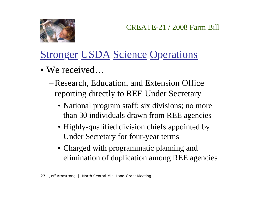

- We received…
	- Research, Education, and Extension Office reporting directly to REE Under Secretary
		- National program staff; six divisions; no more than 30 individuals drawn from REE agencies
		- Highly-qualified division chiefs appointed by Under Secretary for four-year terms
		- Charged with programmatic planning and elimination of duplication among REE agencies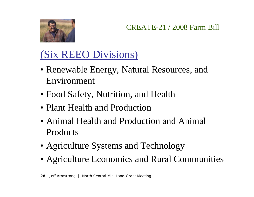

### (Six REEO Divisions)

- Renewable Energy, Natural Resources, and Environment
- Food Safety, Nutrition, and Health
- Plant Health and Production
- Animal Health and Production and Animal **Products**
- Agriculture Systems and Technology
- Agriculture Economics and Rural Communities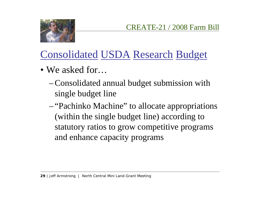

#### Consolidated USDA Research Budget

- We asked for…
	- Consolidated annual budget submission with single budget line
	- "Pachinko Machine" to allocate appropriations (within the single budget line) according to statutory ratios to grow competitive programs and enhance capacity programs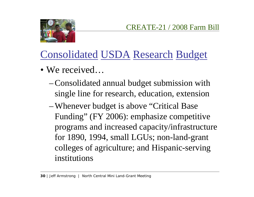

#### Consolidated USDA Research Budget

- We received…
	- Consolidated annual budget submission with single line for research, education, extension
	- Whenever budget is above "Critical Base Funding" (FY 2006): emphasize competitive programs and increased capacity/infrastructure for 1890, 1994, small LGUs; non-land-grant colleges of agriculture; and Hispanic-serving institutions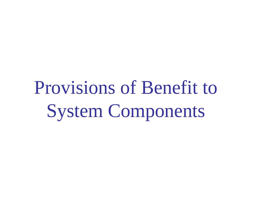Provisions of Benefit to System Components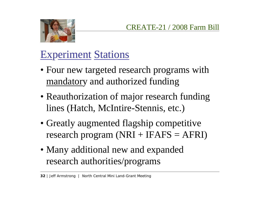

#### Experiment Stations

- Four new targeted research programs with mandatory and authorized funding
- Reauthorization of major research funding lines (Hatch, McIntire-Stennis, etc.)
- Greatly augmented flagship competitive research program  $(NRI + IFAFS = AFRI)$
- Many additional new and expanded research authorities/programs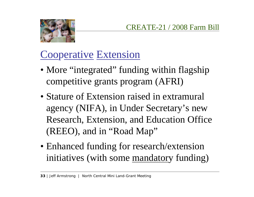

#### Cooperative Extension

- More "integrated" funding within flagship competitive grants program (AFRI)
- Stature of Extension raised in extramural agency (NIFA), in Under Secretary's new Research, Extension, and Education Office (REEO), and in "Road Map"
- Enhanced funding for research/extension initiatives (with some mandatory funding)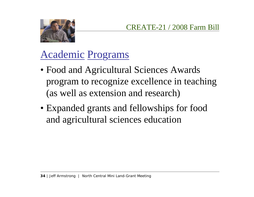

#### Academic Programs

- Food and Agricultural Sciences Awards program to recognize excellence in teaching (as well as extension and research)
- Expanded grants and fellowships for food and agricultural sciences education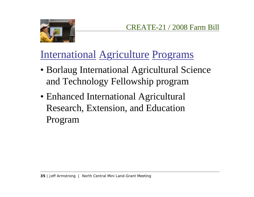

#### International Agriculture Programs

- Borlaug International Agricultural Science and Technology Fellowship program
- Enhanced International Agricultural Research, Extension, and Education Program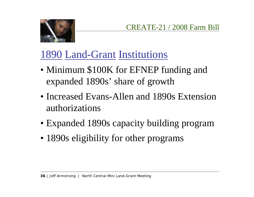

#### 1890 Land-Grant Institutions

- Minimum \$100K for EFNEP funding and expanded 1890s' share of growth
- Increased Evans-Allen and 1890s Extension authorizations
- Expanded 1890s capacity building program
- 1890s eligibility for other programs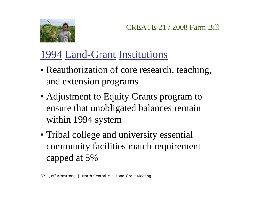



#### 1994 Land-Grant Institutions

- Reauthorization of core research, teaching, and extension programs
- Adjustment to Equity Grants program to ensure that unobligated balances remain within 1994 system
- Tribal college and university essential community facilities match requirement capped at 5%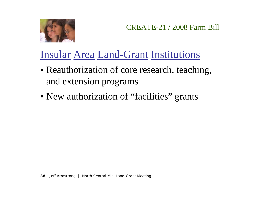

#### Insular Area Land-Grant Institutions

- Reauthorization of core research, teaching, and extension programs
- New authorization of "facilities" grants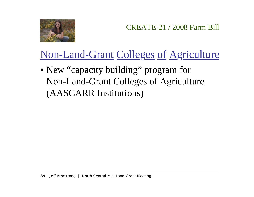

#### Non-Land-Grant Colleges of Agriculture

• New "capacity building" program for Non-Land-Grant Colleges of Agriculture (AASCARR Institutions)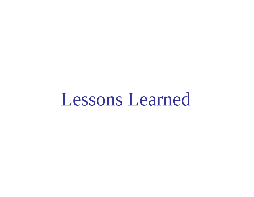### Lessons Learned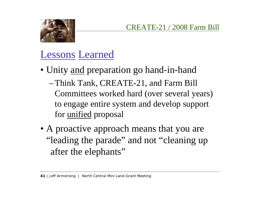

#### Lessons Learned

- Unity <u>and</u> preparation go hand-in-hand
	- Think Tank, CREATE-21, and Farm Bill Committees worked hard (over several years) to engage entire system and develop support for <u>unified</u> proposal
- A proactive approach means that you are "leading the parade" and not "cleaning up after the elephants"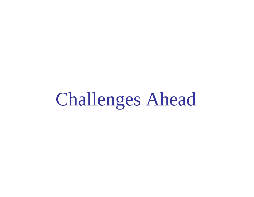## Challenges Ahead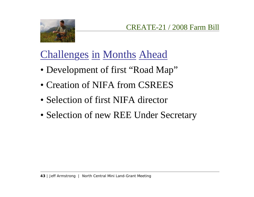

#### Challenges in Months Ahead

- Development of first "Road Map"
- Creation of NIFA from CSREES
- Selection of first NIFA director
- Selection of new REE Under Secretary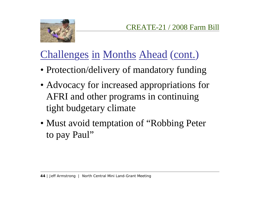



#### Challenges in Months Ahead (cont.)

- Protection/delivery of mandatory funding
- Advocacy for increased appropriations for AFRI and other programs in continuing tight budgetary climate
- Must avoid temptation of "Robbing Peter to pay Paul"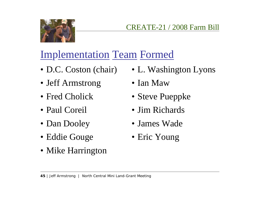

#### Implementation Team Formed

- D.C. Coston (chair)
- Jeff Armstrong
- Fred Cholick
- Paul Coreil
- Dan Dooley
- Eddie Gouge
- Mike Harrington
- L. Washington Lyons
- Ian Maw
- Steve Pueppke
- Jim Richards
- James Wade
- Eric Young